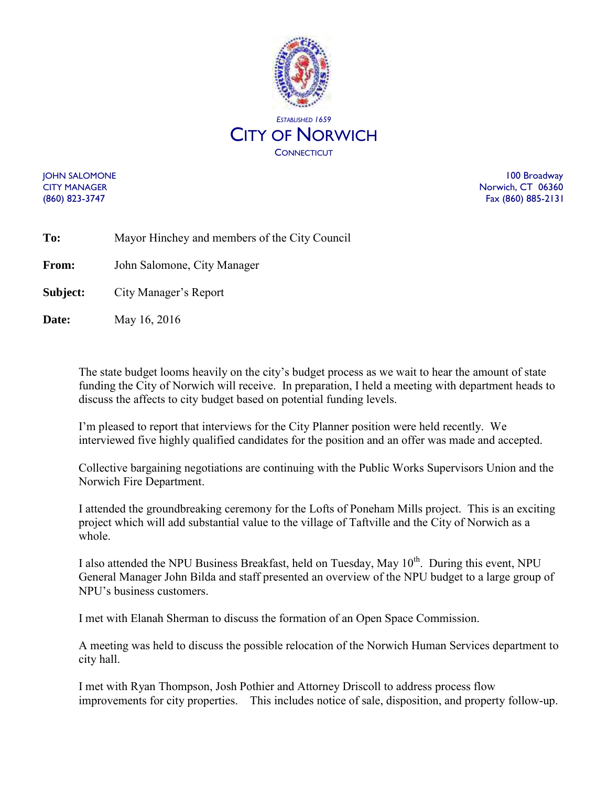

JOHN SALOMONE 100 Broadway CITY MANAGER NORTH STATES AND THE SERVICE OF THE SERVICE OF THE SERVICE OF THE SERVICE OF THE SERVICE OF THE SERVICE OF THE SERVICE OF THE SERVICE OF THE SERVICE OF THE SERVICE OF THE SERVICE OF THE SERVICE OF THE SERVICE (860) 823-3747 Fax (860) 885-2131

| To:          | Mayor Hinchey and members of the City Council |
|--------------|-----------------------------------------------|
| <b>From:</b> | John Salomone, City Manager                   |
| Subject:     | City Manager's Report                         |

**Date:** May 16, 2016

The state budget looms heavily on the city's budget process as we wait to hear the amount of state funding the City of Norwich will receive. In preparation, I held a meeting with department heads to discuss the affects to city budget based on potential funding levels.

I'm pleased to report that interviews for the City Planner position were held recently. We interviewed five highly qualified candidates for the position and an offer was made and accepted.

Collective bargaining negotiations are continuing with the Public Works Supervisors Union and the Norwich Fire Department.

I attended the groundbreaking ceremony for the Lofts of Poneham Mills project. This is an exciting project which will add substantial value to the village of Taftville and the City of Norwich as a whole.

I also attended the NPU Business Breakfast, held on Tuesday, May  $10<sup>th</sup>$ . During this event, NPU General Manager John Bilda and staff presented an overview of the NPU budget to a large group of NPU's business customers.

I met with Elanah Sherman to discuss the formation of an Open Space Commission.

A meeting was held to discuss the possible relocation of the Norwich Human Services department to city hall.

I met with Ryan Thompson, Josh Pothier and Attorney Driscoll to address process flow improvements for city properties. This includes notice of sale, disposition, and property follow-up.